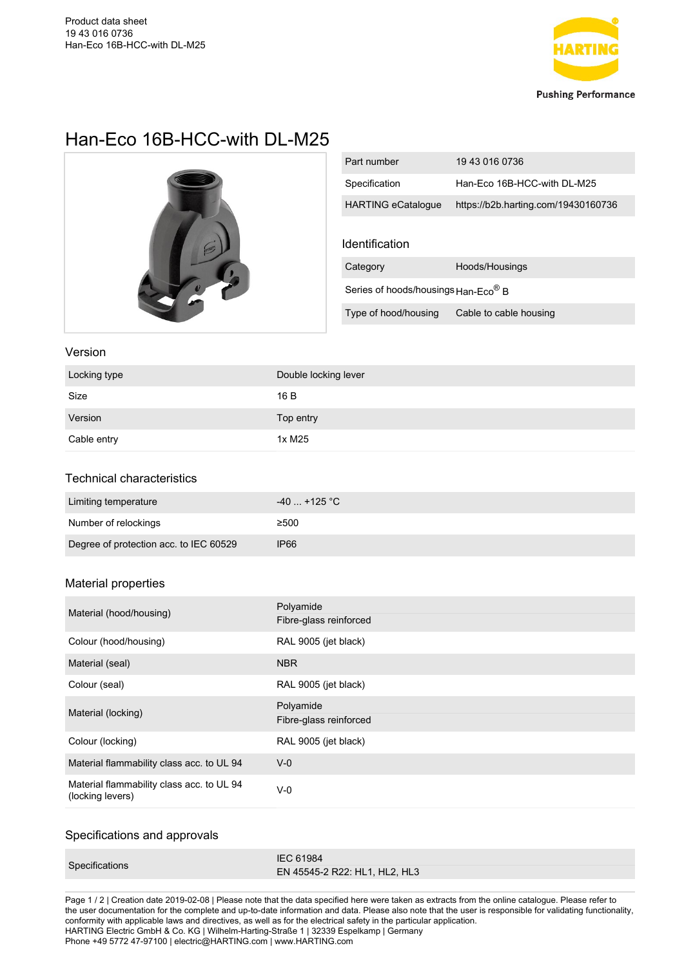

# Han-Eco 16B-HCC-with DL-M25



| Part number                                             | 19 43 016 0736                      |  |
|---------------------------------------------------------|-------------------------------------|--|
| Specification                                           | Han-Eco 16B-HCC-with DL-M25         |  |
| <b>HARTING eCatalogue</b>                               | https://b2b.harting.com/19430160736 |  |
|                                                         |                                     |  |
| Identification                                          |                                     |  |
| Category                                                | Hoods/Housings                      |  |
| Series of hoods/housings $\text{Han-Eco}^{\circledR}$ B |                                     |  |
| Type of hood/housing                                    | Cable to cable housing              |  |

#### Version

| Locking type | Double locking lever |
|--------------|----------------------|
| Size         | 16 B                 |
| Version      | Top entry            |
| Cable entry  | 1x M25               |

## Technical characteristics

| Limiting temperature                   | $-40$ +125 °C |
|----------------------------------------|---------------|
| Number of relockings                   | ≥500          |
| Degree of protection acc. to IEC 60529 | <b>IP66</b>   |

### Material properties

| Material (hood/housing)                                       | Polyamide<br>Fibre-glass reinforced |
|---------------------------------------------------------------|-------------------------------------|
| Colour (hood/housing)                                         | RAL 9005 (jet black)                |
| Material (seal)                                               | <b>NBR</b>                          |
| Colour (seal)                                                 | RAL 9005 (jet black)                |
| Material (locking)                                            | Polyamide<br>Fibre-glass reinforced |
| Colour (locking)                                              | RAL 9005 (jet black)                |
| Material flammability class acc. to UL 94                     | $V - 0$                             |
| Material flammability class acc. to UL 94<br>(locking levers) | $V - 0$                             |

#### Specifications and approvals

| Specifications | <b>IEC 61984</b>              |
|----------------|-------------------------------|
|                | EN 45545-2 R22: HL1, HL2, HL3 |

Page 1 / 2 | Creation date 2019-02-08 | Please note that the data specified here were taken as extracts from the online catalogue. Please refer to the user documentation for the complete and up-to-date information and data. Please also note that the user is responsible for validating functionality, conformity with applicable laws and directives, as well as for the electrical safety in the particular application. HARTING Electric GmbH & Co. KG | Wilhelm-Harting-Straße 1 | 32339 Espelkamp | Germany Phone +49 5772 47-97100 | electric@HARTING.com | www.HARTING.com